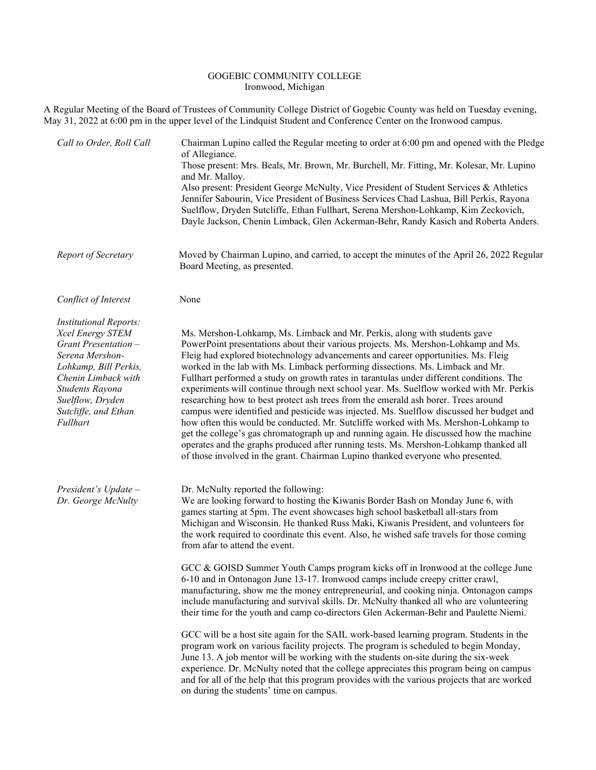## GOGEBIC COMMUNITY COLLEGE Ironwood, Michigan

A Regular Meeting of the Board of Trustees of Community College District of Gogebic County was held on Tuesday evening, May 31, 2022 at 6:00 pm in the upper level of the Lindquist Student and Conference Center on the Ironwood campus.

| Call to Order, Roll Call                                                                                                                                                                                                | Chairman Lupino called the Regular meeting to order at 6:00 pm and opened with the Pledge<br>of Allegiance.<br>Those present: Mrs. Beals, Mr. Brown, Mr. Burchell, Mr. Fitting, Mr. Kolesar, Mr. Lupino<br>and Mr. Malloy.<br>Also present: President George McNulty, Vice President of Student Services & Athletics<br>Jennifer Sabourin, Vice President of Business Services Chad Lashua, Bill Perkis, Rayona<br>Suelflow, Dryden Sutcliffe, Ethan Fullhart, Serena Mershon-Lohkamp, Kim Zeckovich,<br>Dayle Jackson, Chenin Limback, Glen Ackerman-Behr, Randy Kasich and Roberta Anders.                                                                                                                                                                                                                                                                                                                                                                                                                                                                                                                                                                                                                                                                                                                                                                                                        |
|-------------------------------------------------------------------------------------------------------------------------------------------------------------------------------------------------------------------------|-----------------------------------------------------------------------------------------------------------------------------------------------------------------------------------------------------------------------------------------------------------------------------------------------------------------------------------------------------------------------------------------------------------------------------------------------------------------------------------------------------------------------------------------------------------------------------------------------------------------------------------------------------------------------------------------------------------------------------------------------------------------------------------------------------------------------------------------------------------------------------------------------------------------------------------------------------------------------------------------------------------------------------------------------------------------------------------------------------------------------------------------------------------------------------------------------------------------------------------------------------------------------------------------------------------------------------------------------------------------------------------------------------|
| Report of Secretary                                                                                                                                                                                                     | Moved by Chairman Lupino, and carried, to accept the minutes of the April 26, 2022 Regular<br>Board Meeting, as presented.                                                                                                                                                                                                                                                                                                                                                                                                                                                                                                                                                                                                                                                                                                                                                                                                                                                                                                                                                                                                                                                                                                                                                                                                                                                                          |
| Conflict of Interest                                                                                                                                                                                                    | None                                                                                                                                                                                                                                                                                                                                                                                                                                                                                                                                                                                                                                                                                                                                                                                                                                                                                                                                                                                                                                                                                                                                                                                                                                                                                                                                                                                                |
| <b>Institutional Reports:</b><br>Xcel Energy STEM<br>Grant Presentation -<br>Serena Mershon-<br>Lohkamp, Bill Perkis,<br>Chenin Limback with<br>Students Rayona<br>Suelflow, Dryden<br>Sutcliffe, and Ethan<br>Fullhart | Ms. Mershon-Lohkamp, Ms. Limback and Mr. Perkis, along with students gave<br>PowerPoint presentations about their various projects. Ms. Mershon-Lohkamp and Ms.<br>Fleig had explored biotechnology advancements and career opportunities. Ms. Fleig<br>worked in the lab with Ms. Limback performing dissections. Ms. Limback and Mr.<br>Fullhart performed a study on growth rates in tarantulas under different conditions. The<br>experiments will continue through next school year. Ms. Suelflow worked with Mr. Perkis<br>researching how to best protect ash trees from the emerald ash borer. Trees around<br>campus were identified and pesticide was injected. Ms. Suelflow discussed her budget and<br>how often this would be conducted. Mr. Sutcliffe worked with Ms. Mershon-Lohkamp to<br>get the college's gas chromatograph up and running again. He discussed how the machine<br>operates and the graphs produced after running tests. Ms. Mershon-Lohkamp thanked all<br>of those involved in the grant. Chairman Lupino thanked everyone who presented.                                                                                                                                                                                                                                                                                                                        |
| President's Update -<br>Dr. George McNulty                                                                                                                                                                              | Dr. McNulty reported the following:<br>We are looking forward to hosting the Kiwanis Border Bash on Monday June 6, with<br>games starting at 5pm. The event showcases high school basketball all-stars from<br>Michigan and Wisconsin. He thanked Russ Maki, Kiwanis President, and volunteers for<br>the work required to coordinate this event. Also, he wished safe travels for those coming<br>from afar to attend the event.<br>GCC & GOISD Summer Youth Camps program kicks off in Ironwood at the college June<br>6-10 and in Ontonagon June 13-17. Ironwood camps include creepy critter crawl,<br>manufacturing, show me the money entrepreneurial, and cooking ninja. Ontonagon camps<br>include manufacturing and survival skills. Dr. McNulty thanked all who are volunteering<br>their time for the youth and camp co-directors Glen Ackerman-Behr and Paulette Niemi.<br>GCC will be a host site again for the SAIL work-based learning program. Students in the<br>program work on various facility projects. The program is scheduled to begin Monday,<br>June 13. A job mentor will be working with the students on-site during the six-week<br>experience. Dr. McNulty noted that the college appreciates this program being on campus<br>and for all of the help that this program provides with the various projects that are worked<br>on during the students' time on campus. |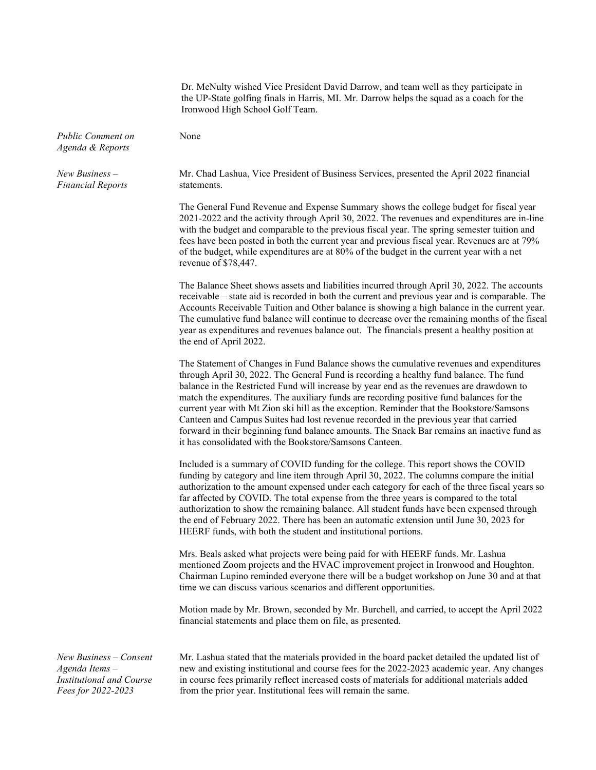|                                              | Dr. McNulty wished Vice President David Darrow, and team well as they participate in<br>the UP-State golfing finals in Harris, MI. Mr. Darrow helps the squad as a coach for the<br>Ironwood High School Golf Team.                                                                                                                                                                                                                                                                                                                                                                                                                                                                                                     |
|----------------------------------------------|-------------------------------------------------------------------------------------------------------------------------------------------------------------------------------------------------------------------------------------------------------------------------------------------------------------------------------------------------------------------------------------------------------------------------------------------------------------------------------------------------------------------------------------------------------------------------------------------------------------------------------------------------------------------------------------------------------------------------|
| <b>Public Comment on</b><br>Agenda & Reports | None                                                                                                                                                                                                                                                                                                                                                                                                                                                                                                                                                                                                                                                                                                                    |
| $New Business -$<br><b>Financial Reports</b> | Mr. Chad Lashua, Vice President of Business Services, presented the April 2022 financial<br>statements.                                                                                                                                                                                                                                                                                                                                                                                                                                                                                                                                                                                                                 |
|                                              | The General Fund Revenue and Expense Summary shows the college budget for fiscal year<br>2021-2022 and the activity through April 30, 2022. The revenues and expenditures are in-line<br>with the budget and comparable to the previous fiscal year. The spring semester tuition and<br>fees have been posted in both the current year and previous fiscal year. Revenues are at 79%<br>of the budget, while expenditures are at 80% of the budget in the current year with a net<br>revenue of $$78,447$ .                                                                                                                                                                                                             |
|                                              | The Balance Sheet shows assets and liabilities incurred through April 30, 2022. The accounts<br>receivable – state aid is recorded in both the current and previous year and is comparable. The<br>Accounts Receivable Tuition and Other balance is showing a high balance in the current year.<br>The cumulative fund balance will continue to decrease over the remaining months of the fiscal<br>year as expenditures and revenues balance out. The financials present a healthy position at<br>the end of April 2022.                                                                                                                                                                                               |
|                                              | The Statement of Changes in Fund Balance shows the cumulative revenues and expenditures<br>through April 30, 2022. The General Fund is recording a healthy fund balance. The fund<br>balance in the Restricted Fund will increase by year end as the revenues are drawdown to<br>match the expenditures. The auxiliary funds are recording positive fund balances for the<br>current year with Mt Zion ski hill as the exception. Reminder that the Bookstore/Samsons<br>Canteen and Campus Suites had lost revenue recorded in the previous year that carried<br>forward in their beginning fund balance amounts. The Snack Bar remains an inactive fund as<br>it has consolidated with the Bookstore/Samsons Canteen. |
|                                              | Included is a summary of COVID funding for the college. This report shows the COVID<br>funding by category and line item through April 30, 2022. The columns compare the initial<br>authorization to the amount expensed under each category for each of the three fiscal years so<br>far affected by COVID. The total expense from the three years is compared to the total<br>authorization to show the remaining balance. All student funds have been expensed through<br>the end of February 2022. There has been an automatic extension until June 30, 2023 for<br>HEERF funds, with both the student and institutional portions.                                                                                  |
|                                              | Mrs. Beals asked what projects were being paid for with HEERF funds. Mr. Lashua<br>mentioned Zoom projects and the HVAC improvement project in Ironwood and Houghton.<br>Chairman Lupino reminded everyone there will be a budget workshop on June 30 and at that<br>time we can discuss various scenarios and different opportunities.                                                                                                                                                                                                                                                                                                                                                                                 |
|                                              | Motion made by Mr. Brown, seconded by Mr. Burchell, and carried, to accept the April 2022<br>financial statements and place them on file, as presented.                                                                                                                                                                                                                                                                                                                                                                                                                                                                                                                                                                 |
| New Business - Consent<br>Agenda Items -     | Mr. Lashua stated that the materials provided in the board packet detailed the updated list of<br>new and existing institutional and course fees for the 2022-2023 academic year. Any changes                                                                                                                                                                                                                                                                                                                                                                                                                                                                                                                           |

*Institutional and Course Fees for 2022-2023*

in course fees primarily reflect increased costs of materials for additional materials added from the prior year. Institutional fees will remain the same.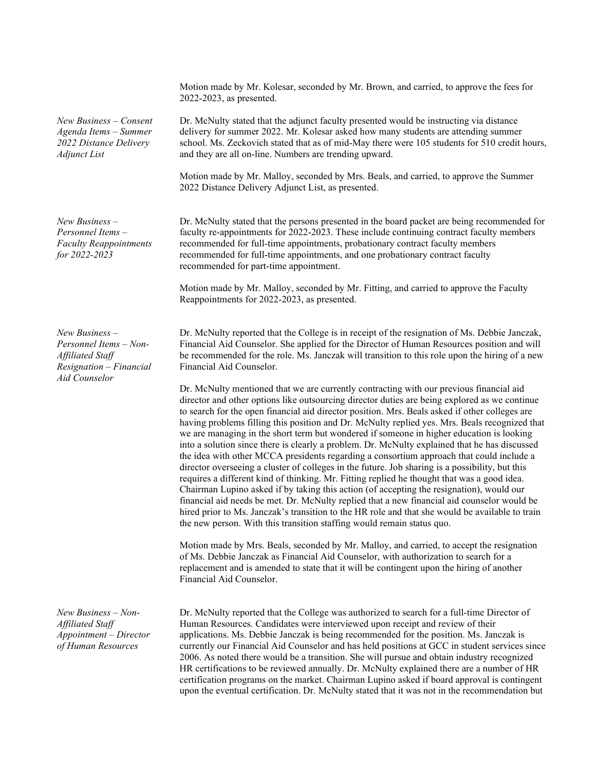*New Business – Consent Agenda Items – Summer 2022 Distance Delivery Adjunct List*

*New Business – Personnel Items – Faculty Reappointments for 2022-2023*

*New Business – Personnel Items – Non-Affiliated Staff Resignation – Financial Aid Counselor*

*New Business – Non-Affiliated Staff Appointment – Director of Human Resources*

Motion made by Mr. Kolesar, seconded by Mr. Brown, and carried, to approve the fees for 2022-2023, as presented.

Dr. McNulty stated that the adjunct faculty presented would be instructing via distance delivery for summer 2022. Mr. Kolesar asked how many students are attending summer school. Ms. Zeckovich stated that as of mid-May there were 105 students for 510 credit hours, and they are all on-line. Numbers are trending upward.

Motion made by Mr. Malloy, seconded by Mrs. Beals, and carried, to approve the Summer 2022 Distance Delivery Adjunct List, as presented.

Dr. McNulty stated that the persons presented in the board packet are being recommended for faculty re-appointments for 2022-2023. These include continuing contract faculty members recommended for full-time appointments, probationary contract faculty members recommended for full-time appointments, and one probationary contract faculty recommended for part-time appointment.

Motion made by Mr. Malloy, seconded by Mr. Fitting, and carried to approve the Faculty Reappointments for 2022-2023, as presented.

Dr. McNulty reported that the College is in receipt of the resignation of Ms. Debbie Janczak, Financial Aid Counselor. She applied for the Director of Human Resources position and will be recommended for the role. Ms. Janczak will transition to this role upon the hiring of a new Financial Aid Counselor.

Dr. McNulty mentioned that we are currently contracting with our previous financial aid director and other options like outsourcing director duties are being explored as we continue to search for the open financial aid director position. Mrs. Beals asked if other colleges are having problems filling this position and Dr. McNulty replied yes. Mrs. Beals recognized that we are managing in the short term but wondered if someone in higher education is looking into a solution since there is clearly a problem. Dr. McNulty explained that he has discussed the idea with other MCCA presidents regarding a consortium approach that could include a director overseeing a cluster of colleges in the future. Job sharing is a possibility, but this requires a different kind of thinking. Mr. Fitting replied he thought that was a good idea. Chairman Lupino asked if by taking this action (of accepting the resignation), would our financial aid needs be met. Dr. McNulty replied that a new financial aid counselor would be hired prior to Ms. Janczak's transition to the HR role and that she would be available to train the new person. With this transition staffing would remain status quo.

Motion made by Mrs. Beals, seconded by Mr. Malloy, and carried, to accept the resignation of Ms. Debbie Janczak as Financial Aid Counselor, with authorization to search for a replacement and is amended to state that it will be contingent upon the hiring of another Financial Aid Counselor.

Dr. McNulty reported that the College was authorized to search for a full-time Director of Human Resources. Candidates were interviewed upon receipt and review of their applications. Ms. Debbie Janczak is being recommended for the position. Ms. Janczak is currently our Financial Aid Counselor and has held positions at GCC in student services since 2006. As noted there would be a transition. She will pursue and obtain industry recognized HR certifications to be reviewed annually. Dr. McNulty explained there are a number of HR certification programs on the market. Chairman Lupino asked if board approval is contingent upon the eventual certification. Dr. McNulty stated that it was not in the recommendation but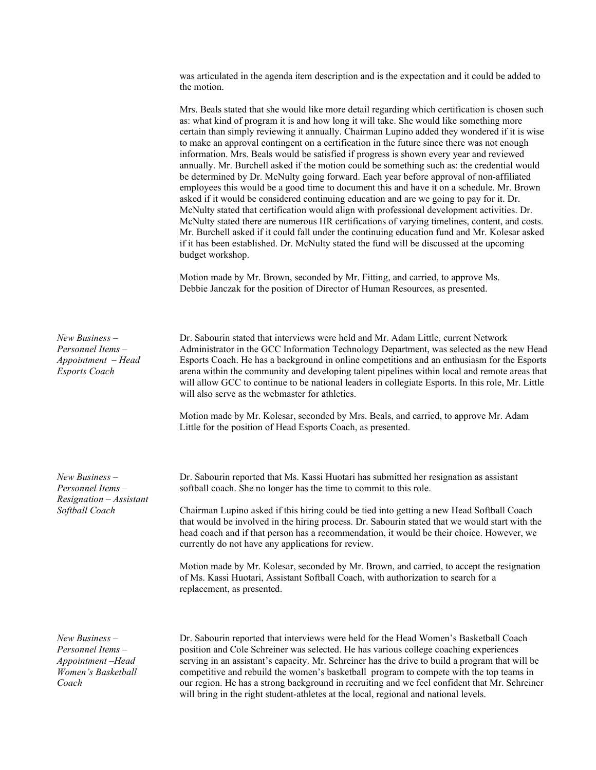was articulated in the agenda item description and is the expectation and it could be added to the motion.

Mrs. Beals stated that she would like more detail regarding which certification is chosen such as: what kind of program it is and how long it will take. She would like something more certain than simply reviewing it annually. Chairman Lupino added they wondered if it is wise to make an approval contingent on a certification in the future since there was not enough information. Mrs. Beals would be satisfied if progress is shown every year and reviewed annually. Mr. Burchell asked if the motion could be something such as: the credential would be determined by Dr. McNulty going forward. Each year before approval of non-affiliated employees this would be a good time to document this and have it on a schedule. Mr. Brown asked if it would be considered continuing education and are we going to pay for it. Dr. McNulty stated that certification would align with professional development activities. Dr. McNulty stated there are numerous HR certifications of varying timelines, content, and costs. Mr. Burchell asked if it could fall under the continuing education fund and Mr. Kolesar asked if it has been established. Dr. McNulty stated the fund will be discussed at the upcoming budget workshop. Motion made by Mr. Brown, seconded by Mr. Fitting, and carried, to approve Ms. Debbie Janczak for the position of Director of Human Resources, as presented. *New Business – Personnel Items – Appointment – Head Esports Coach* Dr. Sabourin stated that interviews were held and Mr. Adam Little, current Network Administrator in the GCC Information Technology Department, was selected as the new Head Esports Coach. He has a background in online competitions and an enthusiasm for the Esports arena within the community and developing talent pipelines within local and remote areas that will allow GCC to continue to be national leaders in collegiate Esports. In this role, Mr. Little will also serve as the webmaster for athletics. Motion made by Mr. Kolesar, seconded by Mrs. Beals, and carried, to approve Mr. Adam Little for the position of Head Esports Coach, as presented. *New Business – Personnel Items – Resignation – Assistant Softball Coach* Dr. Sabourin reported that Ms. Kassi Huotari has submitted her resignation as assistant softball coach. She no longer has the time to commit to this role. Chairman Lupino asked if this hiring could be tied into getting a new Head Softball Coach that would be involved in the hiring process. Dr. Sabourin stated that we would start with the head coach and if that person has a recommendation, it would be their choice. However, we currently do not have any applications for review. Motion made by Mr. Kolesar, seconded by Mr. Brown, and carried, to accept the resignation of Ms. Kassi Huotari, Assistant Softball Coach, with authorization to search for a replacement, as presented. *New Business – Personnel Items –* Dr. Sabourin reported that interviews were held for the Head Women's Basketball Coach position and Cole Schreiner was selected. He has various college coaching experiences

*Appointment –Head Women's Basketball Coach*

serving in an assistant's capacity. Mr. Schreiner has the drive to build a program that will be competitive and rebuild the women's basketball program to compete with the top teams in our region. He has a strong background in recruiting and we feel confident that Mr. Schreiner will bring in the right student-athletes at the local, regional and national levels.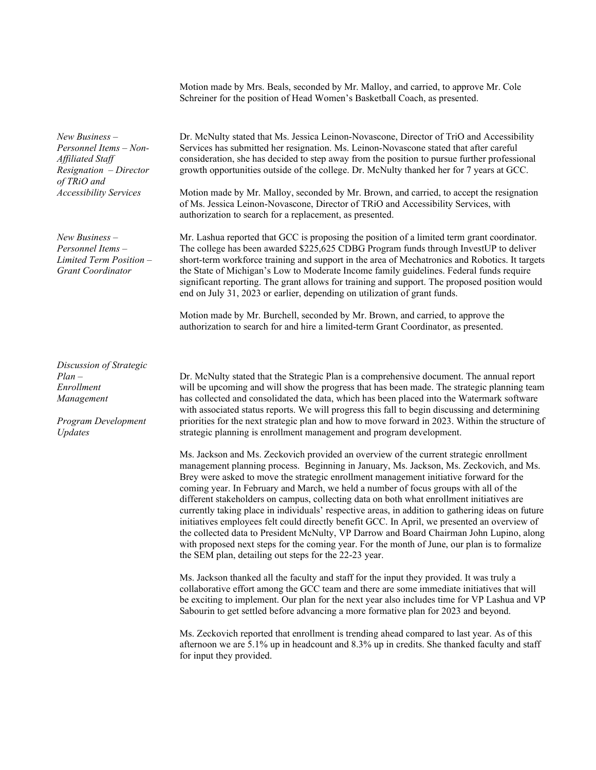|                                                                                                                                        | Motion made by Mrs. Beals, seconded by Mr. Malloy, and carried, to approve Mr. Cole<br>Schreiner for the position of Head Women's Basketball Coach, as presented.                                                                                                                                                                                                                                                                                                                                                                                                                                                                                                                                                                                                                                                                                                                                                          |
|----------------------------------------------------------------------------------------------------------------------------------------|----------------------------------------------------------------------------------------------------------------------------------------------------------------------------------------------------------------------------------------------------------------------------------------------------------------------------------------------------------------------------------------------------------------------------------------------------------------------------------------------------------------------------------------------------------------------------------------------------------------------------------------------------------------------------------------------------------------------------------------------------------------------------------------------------------------------------------------------------------------------------------------------------------------------------|
| New Business -<br>Personnel Items - Non-<br>Affiliated Staff<br>Resignation - Director<br>of TRiO and<br><b>Accessibility Services</b> | Dr. McNulty stated that Ms. Jessica Leinon-Novascone, Director of TriO and Accessibility<br>Services has submitted her resignation. Ms. Leinon-Novascone stated that after careful<br>consideration, she has decided to step away from the position to pursue further professional<br>growth opportunities outside of the college. Dr. McNulty thanked her for 7 years at GCC.<br>Motion made by Mr. Malloy, seconded by Mr. Brown, and carried, to accept the resignation<br>of Ms. Jessica Leinon-Novascone, Director of TRiO and Accessibility Services, with                                                                                                                                                                                                                                                                                                                                                           |
|                                                                                                                                        | authorization to search for a replacement, as presented.                                                                                                                                                                                                                                                                                                                                                                                                                                                                                                                                                                                                                                                                                                                                                                                                                                                                   |
| New Business -<br>Personnel Items-<br>Limited Term Position -<br><b>Grant Coordinator</b>                                              | Mr. Lashua reported that GCC is proposing the position of a limited term grant coordinator.<br>The college has been awarded \$225,625 CDBG Program funds through InvestUP to deliver<br>short-term workforce training and support in the area of Mechatronics and Robotics. It targets<br>the State of Michigan's Low to Moderate Income family guidelines. Federal funds require<br>significant reporting. The grant allows for training and support. The proposed position would<br>end on July 31, 2023 or earlier, depending on utilization of grant funds.                                                                                                                                                                                                                                                                                                                                                            |
|                                                                                                                                        | Motion made by Mr. Burchell, seconded by Mr. Brown, and carried, to approve the<br>authorization to search for and hire a limited-term Grant Coordinator, as presented.                                                                                                                                                                                                                                                                                                                                                                                                                                                                                                                                                                                                                                                                                                                                                    |
| Discussion of Strategic<br>Plan –<br>Enrollment<br>Management<br>Program Development<br>Updates                                        | Dr. McNulty stated that the Strategic Plan is a comprehensive document. The annual report<br>will be upcoming and will show the progress that has been made. The strategic planning team<br>has collected and consolidated the data, which has been placed into the Watermark software<br>with associated status reports. We will progress this fall to begin discussing and determining<br>priorities for the next strategic plan and how to move forward in 2023. Within the structure of<br>strategic planning is enrollment management and program development.                                                                                                                                                                                                                                                                                                                                                        |
|                                                                                                                                        | Ms. Jackson and Ms. Zeckovich provided an overview of the current strategic enrollment<br>management planning process. Beginning in January, Ms. Jackson, Ms. Zeckovich, and Ms.<br>Brey were asked to move the strategic enrollment management initiative forward for the<br>coming year. In February and March, we held a number of focus groups with all of the<br>different stakeholders on campus, collecting data on both what enrollment initiatives are<br>currently taking place in individuals' respective areas, in addition to gathering ideas on future<br>initiatives employees felt could directly benefit GCC. In April, we presented an overview of<br>the collected data to President McNulty, VP Darrow and Board Chairman John Lupino, along<br>with proposed next steps for the coming year. For the month of June, our plan is to formalize<br>the SEM plan, detailing out steps for the 22-23 year. |
|                                                                                                                                        | Ms. Jackson thanked all the faculty and staff for the input they provided. It was truly a<br>collaborative effort among the GCC team and there are some immediate initiatives that will<br>be exciting to implement. Our plan for the next year also includes time for VP Lashua and VP                                                                                                                                                                                                                                                                                                                                                                                                                                                                                                                                                                                                                                    |

Ms. Zeckovich reported that enrollment is trending ahead compared to last year. As of this afternoon we are 5.1% up in headcount and 8.3% up in credits. She thanked faculty and staff for input they provided.

Sabourin to get settled before advancing a more formative plan for 2023 and beyond.